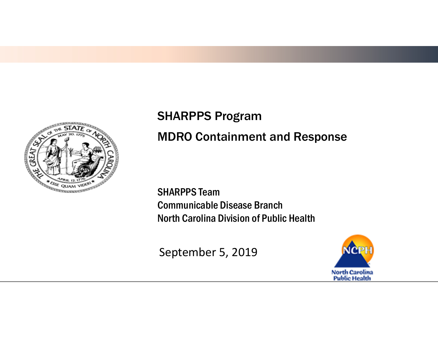

### SHARPPS Program MDRO Containment and Response

SHARPPS Team Communicable Disease Branch North Carolina Division of Public Health

September 5, 2019

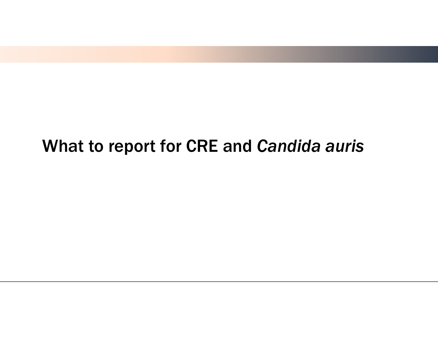## What to report for CRE and *Candida auris*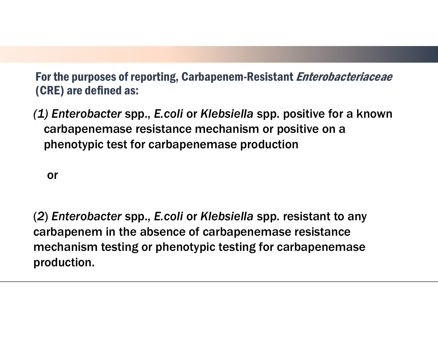For the purposes of reporting, Carbapenem-Resistant *Enterobacteriaceae* (CRE) are defined as:

*(1) Enterobacter* spp., *E.coli* or *Klebsiella* spp. positive for a known carbapenemase resistance mechanism or positive on a phenotypic test for carbapenemase production

or

(*2*) *Enterobacter* spp., *E.coli* or *Klebsiella* spp. resistant to any carbapenem in the absence of carbapenemase resistance mechanism testing or phenotypic testing for carbapenemase production.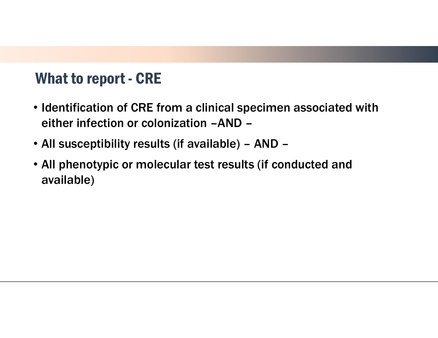#### What to report - CRE

- Identification of CRE from a clinical specimen associated with either infection or colonization –AND –
- All susceptibility results (if available) AND –
- All phenotypic or molecular test results (if conducted and available)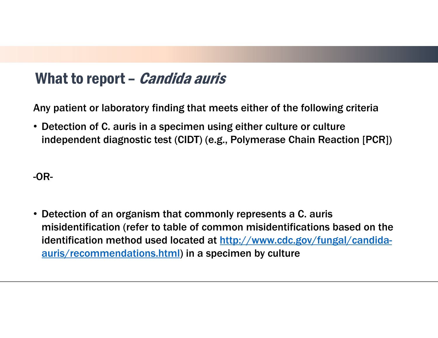#### What to report – *Candida auris*

Any patient or laboratory finding that meets either of the following criteria

• Detection of C. auris in a specimen using either culture or culture independent diagnostic test (CIDT) (e.g., Polymerase Chain Reaction [PCR])

#### -OR-

• Detection of an organism that commonly represents a C. auris misidentification (refer to table of common misidentifications based on the identification method used located at http://www.cdc.gov/fungal/candidaauris/recommendations.html) in a specimen by culture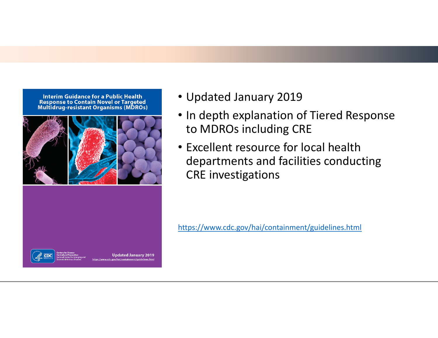**Interim Guidance for a Public Health Response to Contain Novel or Targeted Multidrug-resistant Organisms (MDROs)** 



- Updated January 2019
- In depth explanation of Tiered Response to MDROs including CRE
- Excellent resource for local health departments and facilities conducting CRE investigations

https://www.cdc.gov/hai/containment/guidelines.html



Updated January 2019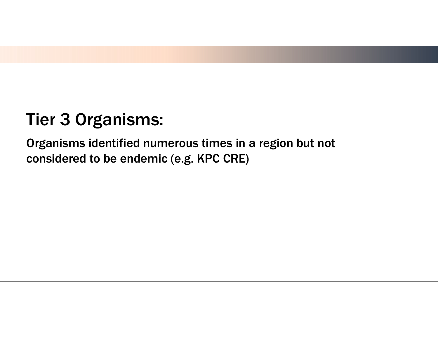# Tier 3 Organisms:

Organisms identified numerous times in a region but not considered to be endemic (e.g. KPC CRE)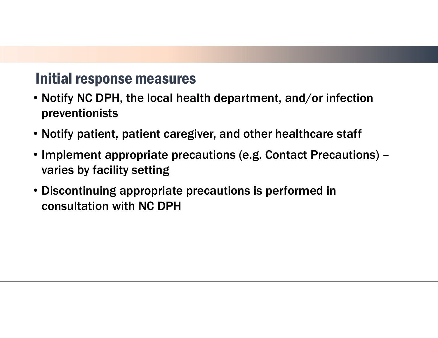#### Initial response measures

- Notify NC DPH, the local health department, and/or infection preventionists
- Notify patient, patient caregiver, and other healthcare staff
- Implement appropriate precautions (e.g. Contact Precautions) varies by facility setting
- Discontinuing appropriate precautions is performed in consultation with NC DPH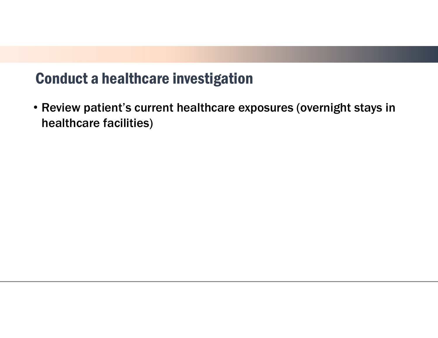#### Conduct a healthcare investigation

• Review patient's current healthcare exposures (overnight stays in healthcare facilities)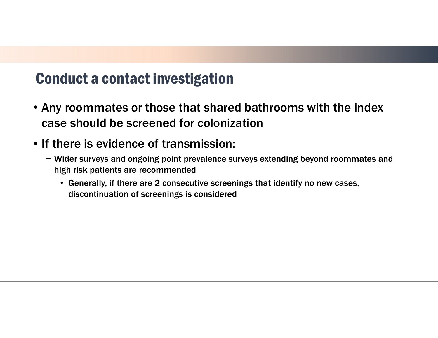#### Conduct a contact investigation

- Any roommates or those that shared bathrooms with the index case should be screened for colonization
- If there is evidence of transmission:
	- − Wider surveys and ongoing point prevalence surveys extending beyond roommates and high risk patients are recommended
		- Generally, if there are 2 consecutive screenings that identify no new cases, discontinuation of screenings is considered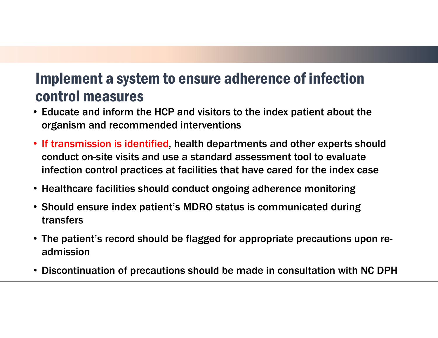#### Implement a system to ensure adherence of infection control measures

- Educate and inform the HCP and visitors to the index patient about the organism and recommended interventions
- If transmission is identified, health departments and other experts should conduct on-site visits and use a standard assessment tool to evaluate infection control practices at facilities that have cared for the index case
- Healthcare facilities should conduct ongoing adherence monitoring
- Should ensure index patient's MDRO status is communicated during transfers
- The patient's record should be flagged for appropriate precautions upon readmission
- Discontinuation of precautions should be made in consultation with NC DPH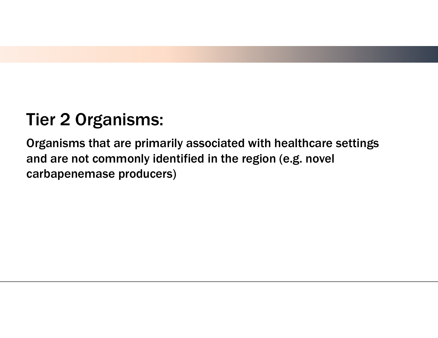# Tier 2 Organisms:

Organisms that are primarily associated with healthcare settings and are not commonly identified in the region (e.g. novel carbapenemase producers)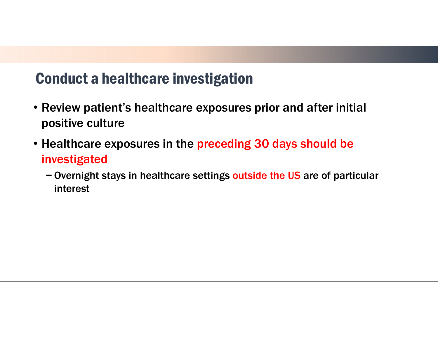#### Conduct a healthcare investigation

- Review patient's healthcare exposures prior and after initial positive culture
- Healthcare exposures in the preceding 30 days should be investigated
	- − Overnight stays in healthcare settings outside the US are of particular interest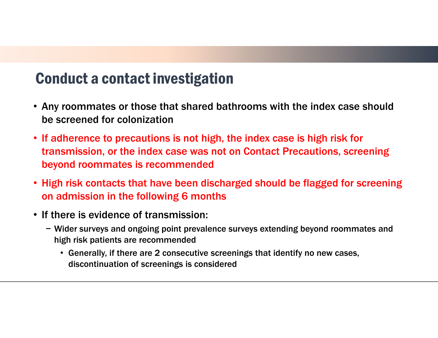#### Conduct a contact investigation

- Any roommates or those that shared bathrooms with the index case should be screened for colonization
- If adherence to precautions is not high, the index case is high risk for transmission, or the index case was not on Contact Precautions, screening beyond roommates is recommended
- High risk contacts that have been discharged should be flagged for screening on admission in the following 6 months
- If there is evidence of transmission:
	- − Wider surveys and ongoing point prevalence surveys extending beyond roommates and high risk patients are recommended
		- Generally, if there are 2 consecutive screenings that identify no new cases, discontinuation of screenings is considered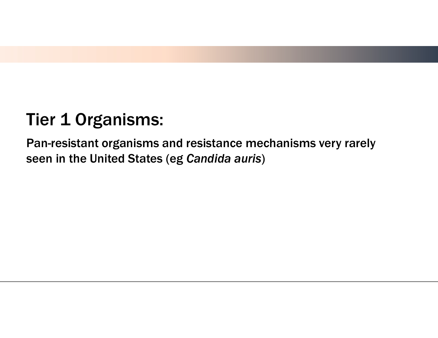# **Tier 1 Organisms:**

Pan-resistant organisms and resistance mechanisms very rarely seen in the United States (eg *Candida auris*)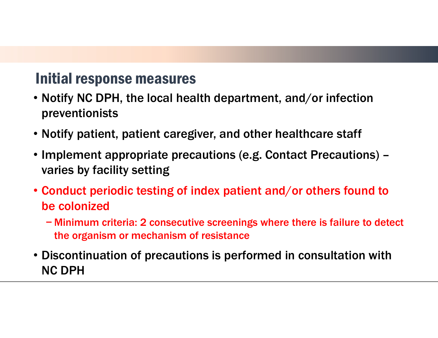#### Initial response measures

- Notify NC DPH, the local health department, and/or infection preventionists
- Notify patient, patient caregiver, and other healthcare staff
- Implement appropriate precautions (e.g. Contact Precautions) varies by facility setting
- Conduct periodic testing of index patient and/or others found to be colonized
	- − Minimum criteria: 2 consecutive screenings where there is failure to detect the organism or mechanism of resistance
- Discontinuation of precautions is performed in consultation with NC DPH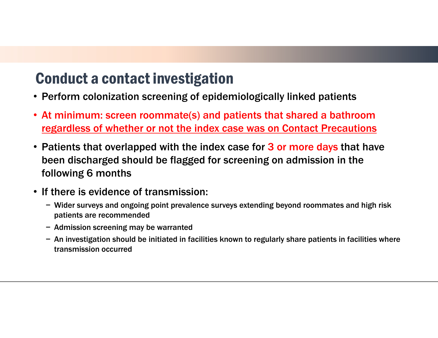#### Conduct a contact investigation

- Perform colonization screening of epidemiologically linked patients
- At minimum: screen roommate(s) and patients that shared a bathroom regardless of whether or not the index case was on Contact Precautions
- Patients that overlapped with the index case for 3 or more days that have been discharged should be flagged for screening on admission in the following 6 months
- If there is evidence of transmission:
	- − Wider surveys and ongoing point prevalence surveys extending beyond roommates and high risk patients are recommended
	- − Admission screening may be warranted
	- − An investigation should be initiated in facilities known to regularly share patients in facilities where transmission occurred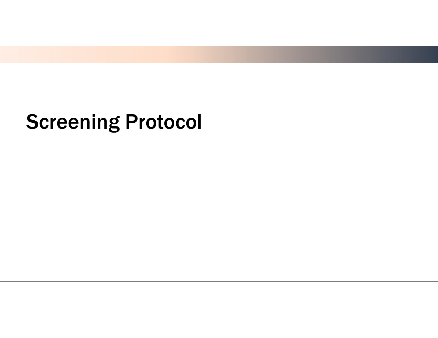# Screening Protocol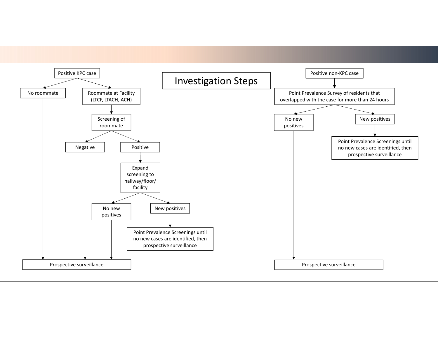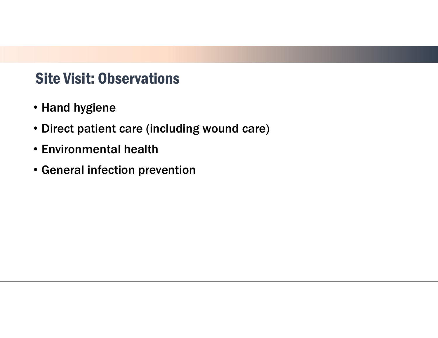#### Site Visit: Observations

- Hand hygiene
- Direct patient care (including wound care)
- Environmental health
- General infection prevention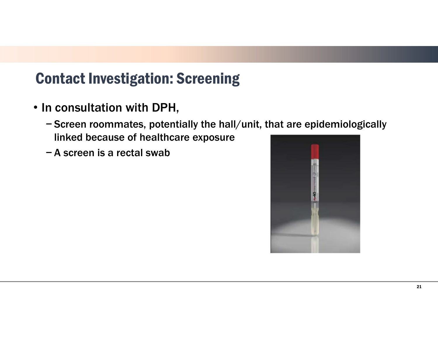### Contact Investigation: Screening

- In consultation with DPH,
	- − Screen roommates, potentially the hall/unit, that are epidemiologically linked because of healthcare exposure
	- − A screen is a rectal swab

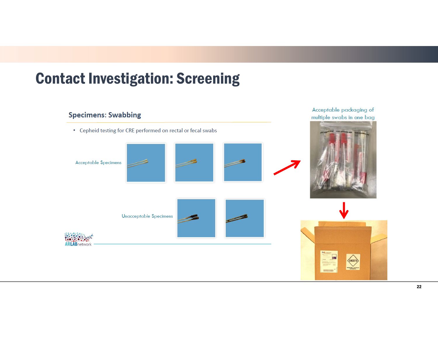# Acceptable packaging of **Specimens: Swabbing** multiple swabs in one bag • Cepheid testing for CRE performed on rectal or fecal swabs **Acceptable Specimens Unacceptable Specimens ARLAB**network **VIN3373**

### Contact Investigation: Screening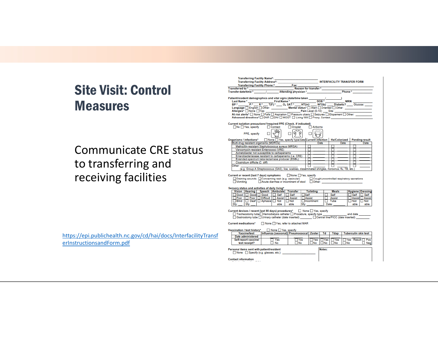#### Site Visit: Control Measures

#### Communicate CRE status to transferring and receiving facilities

https://epi.publichealth.nc.gov/cd/hai/docs/InterfacilityTransf erInstructionsandForm.pdf

|                                                                                                                                                                                                                                      |                                                                                                    | Fax:    |                                                                                                                                                                                                                                |                                  |        |               |      | <b>INTERFACILITY TRANSFER FORM</b>                 |
|--------------------------------------------------------------------------------------------------------------------------------------------------------------------------------------------------------------------------------------|----------------------------------------------------------------------------------------------------|---------|--------------------------------------------------------------------------------------------------------------------------------------------------------------------------------------------------------------------------------|----------------------------------|--------|---------------|------|----------------------------------------------------|
| Transferring Facility Phone:*                                                                                                                                                                                                        |                                                                                                    |         |                                                                                                                                                                                                                                |                                  |        |               |      |                                                    |
|                                                                                                                                                                                                                                      |                                                                                                    |         |                                                                                                                                                                                                                                |                                  |        |               |      |                                                    |
|                                                                                                                                                                                                                                      |                                                                                                    |         |                                                                                                                                                                                                                                |                                  |        |               |      |                                                    |
|                                                                                                                                                                                                                                      |                                                                                                    |         |                                                                                                                                                                                                                                |                                  |        |               |      |                                                    |
|                                                                                                                                                                                                                                      |                                                                                                    |         |                                                                                                                                                                                                                                |                                  |        |               |      |                                                    |
|                                                                                                                                                                                                                                      |                                                                                                    |         |                                                                                                                                                                                                                                |                                  |        |               |      |                                                    |
| Language C English C Other: Mental status* C Alert C Oriented C Other:                                                                                                                                                               |                                                                                                    |         |                                                                                                                                                                                                                                |                                  |        |               |      |                                                    |
| Allergies* Mone CYes: <u>Containing the Contract Contract Contract Contract Contract Contract Contract Contract Contract Contract Contract Contract Contract Contract Contract Contract Contract Contract Contract Contract Cont</u> |                                                                                                    |         |                                                                                                                                                                                                                                |                                  |        |               |      |                                                    |
|                                                                                                                                                                                                                                      |                                                                                                    |         |                                                                                                                                                                                                                                |                                  |        |               |      |                                                    |
| Advanced directives* I DNR I DNI I MOST I Living Will I Proxy, Contact                                                                                                                                                               |                                                                                                    |         |                                                                                                                                                                                                                                |                                  |        |               |      |                                                    |
| Current isolation precautions*/required PPE (Check, if indicated)                                                                                                                                                                    |                                                                                                    |         |                                                                                                                                                                                                                                |                                  |        |               |      |                                                    |
| No Yes, specify Contact                                                                                                                                                                                                              |                                                                                                    | Droplet |                                                                                                                                                                                                                                | □ Airborne                       |        |               |      |                                                    |
|                                                                                                                                                                                                                                      |                                                                                                    |         |                                                                                                                                                                                                                                |                                  |        |               |      |                                                    |
| PPE, specify                                                                                                                                                                                                                         | $\sqrt{W}$                                                                                         | ศจ      |                                                                                                                                                                                                                                |                                  |        |               |      |                                                    |
|                                                                                                                                                                                                                                      |                                                                                                    |         |                                                                                                                                                                                                                                |                                  |        |               |      |                                                    |
| Organisms / infections* □ None □ Yes, specify type/date Current infection   Hx/Colonized                                                                                                                                             |                                                                                                    |         |                                                                                                                                                                                                                                |                                  |        |               |      | <b>Pending result</b>                              |
| Multi-drug resistant organisms (MDROs)                                                                                                                                                                                               |                                                                                                    |         |                                                                                                                                                                                                                                | Date                             |        |               | Date | Date                                               |
| Methicillin-resistant Staphylococcus aureus (MRSA)                                                                                                                                                                                   |                                                                                                    |         |                                                                                                                                                                                                                                |                                  |        | П             |      |                                                    |
| Vancomycin-resistant Enterococci (VRE)                                                                                                                                                                                               |                                                                                                    |         |                                                                                                                                                                                                                                |                                  |        | п             |      | п                                                  |
| Acinetobacter not susceptible to carbapenems                                                                                                                                                                                         |                                                                                                    |         | □□<br>□                                                                                                                                                                                                                        |                                  |        | п<br>П        |      | п                                                  |
| Enterobacteriaceae resistant to carbapenems (i.e. CRE)<br>Extended-spectrum beta-lactamase producer (ESBL)                                                                                                                           |                                                                                                    |         | п                                                                                                                                                                                                                              |                                  |        | п             |      | □                                                  |
| Clostridium difficile (C. diff)                                                                                                                                                                                                      |                                                                                                    |         |                                                                                                                                                                                                                                |                                  |        |               |      |                                                    |
| Other:                                                                                                                                                                                                                               |                                                                                                    |         | п                                                                                                                                                                                                                              |                                  |        |               |      | п                                                  |
|                                                                                                                                                                                                                                      | (e.g. Group A Streptococcus (GAS), lice, scabies, disseminated shingles, norovirus, flu, TB, etc.) |         |                                                                                                                                                                                                                                |                                  |        |               |      |                                                    |
|                                                                                                                                                                                                                                      |                                                                                                    |         |                                                                                                                                                                                                                                |                                  |        |               |      |                                                    |
|                                                                                                                                                                                                                                      |                                                                                                    |         |                                                                                                                                                                                                                                |                                  |        |               |      |                                                    |
|                                                                                                                                                                                                                                      |                                                                                                    |         |                                                                                                                                                                                                                                |                                  |        |               |      |                                                    |
| □ Draining wounds □ Concerning rash (e.g. vesicular) □ Cough/uncontrolled respiratory secretions                                                                                                                                     |                                                                                                    |         |                                                                                                                                                                                                                                |                                  |        |               |      |                                                    |
| Vomiting                                                                                                                                                                                                                             | Acute diarrhea or incontinent of stool cother:                                                     |         |                                                                                                                                                                                                                                |                                  |        |               |      |                                                    |
|                                                                                                                                                                                                                                      |                                                                                                    |         |                                                                                                                                                                                                                                |                                  |        |               |      |                                                    |
|                                                                                                                                                                                                                                      |                                                                                                    |         |                                                                                                                                                                                                                                | <b>Toileting</b>                 |        | <b>Meals</b>  |      |                                                    |
| Current or recent (last 7 days) symptoms □ None □ Yes, specify<br>Sensory status and activities of daily living*<br>Vision   Hearing   Speech   Ambulate   Transfer                                                                  |                                                                                                    |         | $\Box$ Self                                                                                                                                                                                                                    |                                  |        | $\Box$ Self   |      | <b>Hygiene Dressing</b><br>$\Box$ Self $\Box$ Self |
| Good Good Good Self Self<br>CPoor DPoor Difficult Assist Assist                                                                                                                                                                      |                                                                                                    |         |                                                                                                                                                                                                                                | Assist                           |        | $\Box$ Assist |      | Assist Assist                                      |
| □Blind   □ Deaf   □ Aphasia   □ Not   □ Not                                                                                                                                                                                          |                                                                                                    |         |                                                                                                                                                                                                                                | Incontinent                      |        | $\Box$ Tube   |      | $\Box$ Not $\Box$ Not                              |
| Sfv:<br>Sfy:                                                                                                                                                                                                                         | able                                                                                               | able    | Sfy: and the state of the state of the state of the state of the state of the state of the state of the state of the state of the state of the state of the state of the state of the state of the state of the state of the s |                                  |        | Date:         |      | able able                                          |
|                                                                                                                                                                                                                                      |                                                                                                    |         |                                                                                                                                                                                                                                |                                  |        |               |      |                                                    |
|                                                                                                                                                                                                                                      |                                                                                                    |         |                                                                                                                                                                                                                                |                                  |        |               |      |                                                    |
|                                                                                                                                                                                                                                      |                                                                                                    |         |                                                                                                                                                                                                                                |                                  |        |               |      |                                                    |
| □ Gastrostomy tube □ Urinary catheter (date inserted) □ Central line/PICC (date inserted)                                                                                                                                            |                                                                                                    |         |                                                                                                                                                                                                                                |                                  |        |               |      |                                                    |
|                                                                                                                                                                                                                                      |                                                                                                    |         |                                                                                                                                                                                                                                |                                  |        |               |      |                                                    |
|                                                                                                                                                                                                                                      |                                                                                                    |         |                                                                                                                                                                                                                                |                                  |        |               |      |                                                    |
|                                                                                                                                                                                                                                      | None Yes, specify                                                                                  |         |                                                                                                                                                                                                                                |                                  |        |               |      |                                                    |
| Vaccine/test                                                                                                                                                                                                                         | Influenza (seasonal) Pneumococcal   Zoster                                                         |         |                                                                                                                                                                                                                                |                                  | Td     | Tdap          |      |                                                    |
| Current medications <sup>*</sup> □ None □ Yes, refer to attached MAR<br>Vaccination / test history*<br><b>Date administered</b>                                                                                                      |                                                                                                    |         |                                                                                                                                                                                                                                |                                  |        |               |      | <b>Tuberculin skin test</b>                        |
| Self-report vaccine/                                                                                                                                                                                                                 | $\Box$ Yes                                                                                         |         | $\Box$ Yes                                                                                                                                                                                                                     | $\Box$ Yes $\Box$ Yes $\Box$ Yes |        |               |      |                                                    |
| test receipt?                                                                                                                                                                                                                        | $\Box$ No.                                                                                         | ΠNo     |                                                                                                                                                                                                                                | ΠNo                              | ∃No.   | ΠNo.          | ⊟No  |                                                    |
|                                                                                                                                                                                                                                      |                                                                                                    |         |                                                                                                                                                                                                                                |                                  |        |               |      |                                                    |
|                                                                                                                                                                                                                                      |                                                                                                    |         |                                                                                                                                                                                                                                |                                  | Notes: |               |      |                                                    |
| Personal items sent with patient/resident<br>None $\Box$ Specify (e.g. glasses, etc.):                                                                                                                                               |                                                                                                    |         |                                                                                                                                                                                                                                |                                  |        |               |      | <b>TYes</b> Result: Pos<br>$\Box$ Negl             |